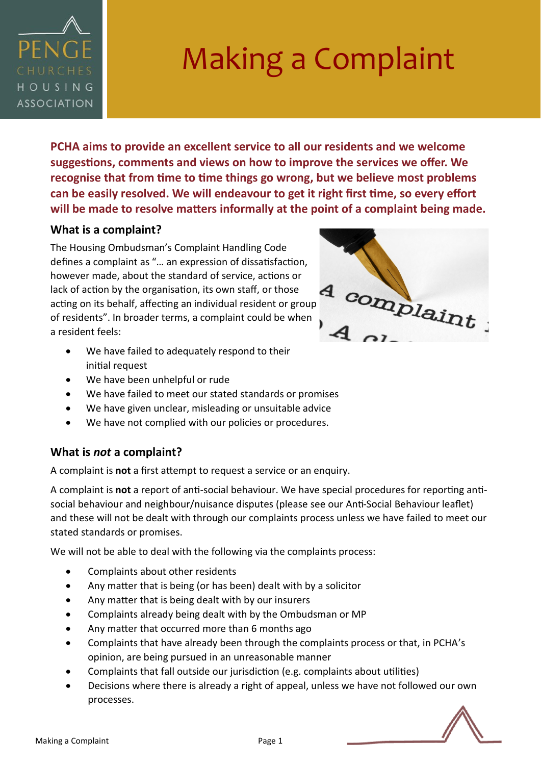

**PCHA aims to provide an excellent service to all our residents and we welcome suggestions, comments and views on how to improve the services we offer. We recognise that from time to time things go wrong, but we believe most problems can be easily resolved. We will endeavour to get it right first time, so every effort will be made to resolve matters informally at the point of a complaint being made.** 

## **What is a complaint?**

The Housing Ombudsman's Complaint Handling Code defines a complaint as "… an expression of dissatisfaction, however made, about the standard of service, actions or lack of action by the organisation, its own staff, or those acting on its behalf, affecting an individual resident or group<br>of residents". In broader terms, a complaint could be when<br>the color of the color terms, a complaint could be when<br> $\overline{A}$ of residents". In broader terms, a complaint could be when a resident feels:

- We have failed to adequately respond to their initial request
- We have been unhelpful or rude
- We have failed to meet our stated standards or promises
- We have given unclear, misleading or unsuitable advice
- We have not complied with our policies or procedures.

## **What is** *not* **a complaint?**

A complaint is **not** a first attempt to request a service or an enquiry.

A complaint is **not** a report of anti-social behaviour. We have special procedures for reporting antisocial behaviour and neighbour/nuisance disputes (please see our Anti-Social Behaviour leaflet) and these will not be dealt with through our complaints process unless we have failed to meet our stated standards or promises.

We will not be able to deal with the following via the complaints process:

- Complaints about other residents
- Any matter that is being (or has been) dealt with by a solicitor
- Any matter that is being dealt with by our insurers
- Complaints already being dealt with by the Ombudsman or MP
- Any matter that occurred more than 6 months ago
- Complaints that have already been through the complaints process or that, in PCHA's opinion, are being pursued in an unreasonable manner
- Complaints that fall outside our jurisdiction (e.g. complaints about utilities)
- Decisions where there is already a right of appeal, unless we have not followed our own processes.



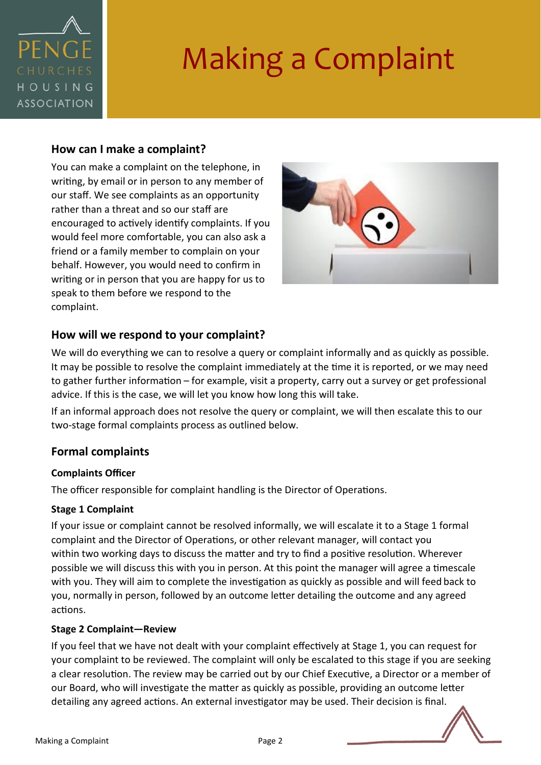

#### **How can I make a complaint?**

You can make a complaint on the telephone, in writing, by email or in person to any member of our staff. We see complaints as an opportunity rather than a threat and so our staff are encouraged to actively identify complaints. If you would feel more comfortable, you can also ask a friend or a family member to complain on your behalf. However, you would need to confirm in writing or in person that you are happy for us to speak to them before we respond to the complaint.



## **How will we respond to your complaint?**

We will do everything we can to resolve a query or complaint informally and as quickly as possible. It may be possible to resolve the complaint immediately at the time it is reported, or we may need to gather further information – for example, visit a property, carry out a survey or get professional advice. If this is the case, we will let you know how long this will take.

If an informal approach does not resolve the query or complaint, we will then escalate this to our two-stage formal complaints process as outlined below.

## **Formal complaints**

#### **Complaints Officer**

The officer responsible for complaint handling is the Director of Operations.

#### **Stage 1 Complaint**

If your issue or complaint cannot be resolved informally, we will escalate it to a Stage 1 formal complaint and the Director of Operations, or other relevant manager, will contact you within two working days to discuss the matter and try to find a positive resolution. Wherever possible we will discuss this with you in person. At this point the manager will agree a timescale with you. They will aim to complete the investigation as quickly as possible and will feed back to you, normally in person, followed by an outcome letter detailing the outcome and any agreed actions.

#### **Stage 2 Complaint—Review**

If you feel that we have not dealt with your complaint effectively at Stage 1, you can request for your complaint to be reviewed. The complaint will only be escalated to this stage if you are seeking a clear resolution. The review may be carried out by our Chief Executive, a Director or a member of our Board, who will investigate the matter as quickly as possible, providing an outcome letter detailing any agreed actions. An external investigator may be used. Their decision is final.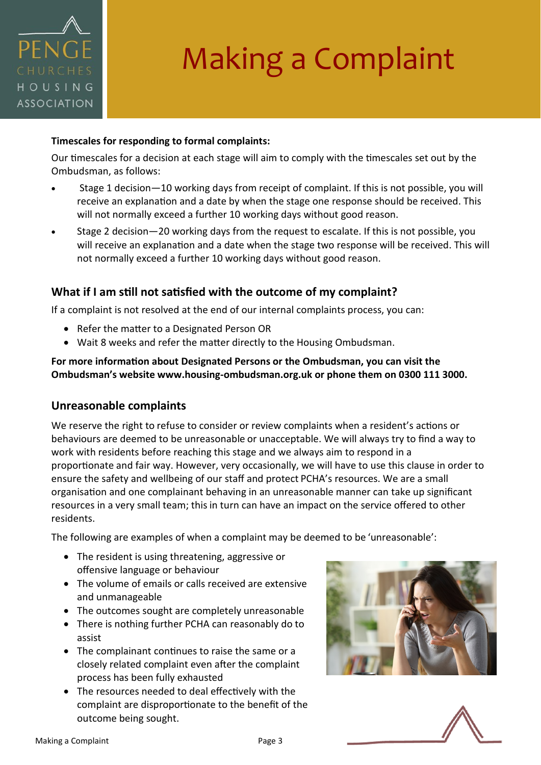

#### **Timescales for responding to formal complaints:**

Our timescales for a decision at each stage will aim to comply with the timescales set out by the Ombudsman, as follows:

- Stage 1 decision—10 working days from receipt of complaint. If this is not possible, you will receive an explanation and a date by when the stage one response should be received. This will not normally exceed a further 10 working days without good reason.
- Stage 2 decision—20 working days from the request to escalate. If this is not possible, you will receive an explanation and a date when the stage two response will be received. This will not normally exceed a further 10 working days without good reason.

### **What if I am still not satisfied with the outcome of my complaint?**

If a complaint is not resolved at the end of our internal complaints process, you can:

- Refer the matter to a Designated Person OR
- Wait 8 weeks and refer the matter directly to the Housing Ombudsman.

#### **For more information about Designated Persons or the Ombudsman, you can visit the Ombudsman's website www.housing-ombudsman.org.uk or phone them on 0300 111 3000.**

#### **Unreasonable complaints**

We reserve the right to refuse to consider or review complaints when a resident's actions or behaviours are deemed to be unreasonable or unacceptable. We will always try to find a way to work with residents before reaching this stage and we always aim to respond in a proportionate and fair way. However, very occasionally, we will have to use this clause in order to ensure the safety and wellbeing of our staff and protect PCHA's resources. We are a small organisation and one complainant behaving in an unreasonable manner can take up significant resources in a very small team; this in turn can have an impact on the service offered to other residents.

The following are examples of when a complaint may be deemed to be 'unreasonable':

- The resident is using threatening, aggressive or offensive language or behaviour
- The volume of emails or calls received are extensive and unmanageable
- The outcomes sought are completely unreasonable
- There is nothing further PCHA can reasonably do to assist
- The complainant continues to raise the same or a closely related complaint even after the complaint process has been fully exhausted
- The resources needed to deal effectively with the complaint are disproportionate to the benefit of the outcome being sought.